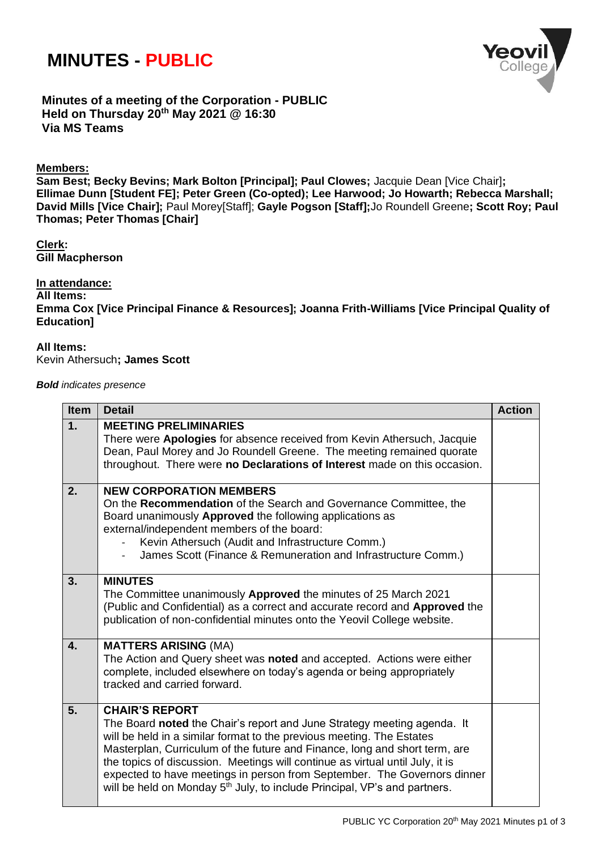# **MINUTES - PUBLIC**



**Minutes of a meeting of the Corporation - PUBLIC Held on Thursday 20 th May 2021 @ 16:30 Via MS Teams**

## **Members:**

**Sam Best; Becky Bevins; Mark Bolton [Principal]; Paul Clowes;** Jacquie Dean [Vice Chair]**; Ellimae Dunn [Student FE]; Peter Green (Co-opted); Lee Harwood; Jo Howarth; Rebecca Marshall; David Mills [Vice Chair];** Paul Morey[Staff]; **Gayle Pogson [Staff];**Jo Roundell Greene**; Scott Roy; Paul Thomas; Peter Thomas [Chair]**

**Clerk: Gill Macpherson**

## **In attendance:**

**All Items: Emma Cox [Vice Principal Finance & Resources]; Joanna Frith-Williams [Vice Principal Quality of Education]**

### **All Items:**

Kevin Athersuch**; James Scott**

### *Bold indicates presence*

| <b>Item</b>  | <b>Detail</b>                                                                                                                                                                                                                                                                                                                                                                                                                                                                                                 | <b>Action</b> |
|--------------|---------------------------------------------------------------------------------------------------------------------------------------------------------------------------------------------------------------------------------------------------------------------------------------------------------------------------------------------------------------------------------------------------------------------------------------------------------------------------------------------------------------|---------------|
| 1.           | <b>MEETING PRELIMINARIES</b><br>There were Apologies for absence received from Kevin Athersuch, Jacquie<br>Dean, Paul Morey and Jo Roundell Greene. The meeting remained quorate<br>throughout. There were no Declarations of Interest made on this occasion.                                                                                                                                                                                                                                                 |               |
| 2.           | <b>NEW CORPORATION MEMBERS</b><br>On the Recommendation of the Search and Governance Committee, the<br>Board unanimously Approved the following applications as<br>external/independent members of the board:<br>Kevin Athersuch (Audit and Infrastructure Comm.)<br>James Scott (Finance & Remuneration and Infrastructure Comm.)<br>$\overline{\phantom{a}}$                                                                                                                                                |               |
| 3.           | <b>MINUTES</b><br>The Committee unanimously Approved the minutes of 25 March 2021<br>(Public and Confidential) as a correct and accurate record and Approved the<br>publication of non-confidential minutes onto the Yeovil College website.                                                                                                                                                                                                                                                                  |               |
| $\mathbf{4}$ | <b>MATTERS ARISING (MA)</b><br>The Action and Query sheet was noted and accepted. Actions were either<br>complete, included elsewhere on today's agenda or being appropriately<br>tracked and carried forward.                                                                                                                                                                                                                                                                                                |               |
| 5.           | <b>CHAIR'S REPORT</b><br>The Board noted the Chair's report and June Strategy meeting agenda. It<br>will be held in a similar format to the previous meeting. The Estates<br>Masterplan, Curriculum of the future and Finance, long and short term, are<br>the topics of discussion. Meetings will continue as virtual until July, it is<br>expected to have meetings in person from September. The Governors dinner<br>will be held on Monday 5 <sup>th</sup> July, to include Principal, VP's and partners. |               |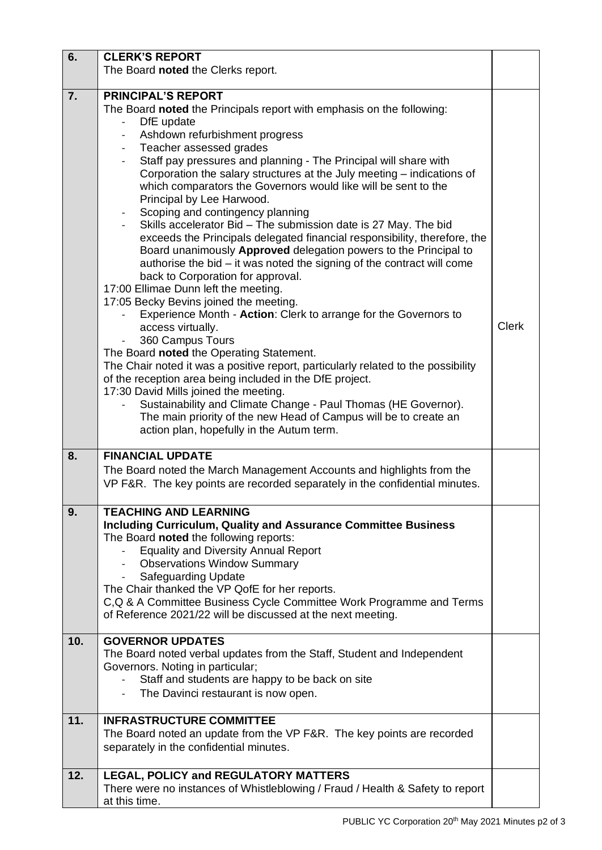| 6.  | <b>CLERK'S REPORT</b>                                                                                                                                                                                                                                                                                                                                                                                                                                                                                                                                                                                                                                                                                                                                                                                                                                                                                                                                                                                                                                                                                                                                                                                                                                                                                                                                                                                                                                                                                  |              |
|-----|--------------------------------------------------------------------------------------------------------------------------------------------------------------------------------------------------------------------------------------------------------------------------------------------------------------------------------------------------------------------------------------------------------------------------------------------------------------------------------------------------------------------------------------------------------------------------------------------------------------------------------------------------------------------------------------------------------------------------------------------------------------------------------------------------------------------------------------------------------------------------------------------------------------------------------------------------------------------------------------------------------------------------------------------------------------------------------------------------------------------------------------------------------------------------------------------------------------------------------------------------------------------------------------------------------------------------------------------------------------------------------------------------------------------------------------------------------------------------------------------------------|--------------|
|     | The Board noted the Clerks report.                                                                                                                                                                                                                                                                                                                                                                                                                                                                                                                                                                                                                                                                                                                                                                                                                                                                                                                                                                                                                                                                                                                                                                                                                                                                                                                                                                                                                                                                     |              |
| 7.  | <b>PRINCIPAL'S REPORT</b><br>The Board noted the Principals report with emphasis on the following:<br>DfE update<br>Ashdown refurbishment progress<br>$\overline{\phantom{a}}$<br>Teacher assessed grades<br>$\overline{\phantom{a}}$<br>Staff pay pressures and planning - The Principal will share with<br>Corporation the salary structures at the July meeting - indications of<br>which comparators the Governors would like will be sent to the<br>Principal by Lee Harwood.<br>Scoping and contingency planning<br>Skills accelerator Bid - The submission date is 27 May. The bid<br>exceeds the Principals delegated financial responsibility, therefore, the<br>Board unanimously Approved delegation powers to the Principal to<br>authorise the bid – it was noted the signing of the contract will come<br>back to Corporation for approval.<br>17:00 Ellimae Dunn left the meeting.<br>17:05 Becky Bevins joined the meeting.<br>Experience Month - Action: Clerk to arrange for the Governors to<br>access virtually.<br>360 Campus Tours<br>The Board noted the Operating Statement.<br>The Chair noted it was a positive report, particularly related to the possibility<br>of the reception area being included in the DfE project.<br>17:30 David Mills joined the meeting.<br>Sustainability and Climate Change - Paul Thomas (HE Governor).<br>$\qquad \qquad -$<br>The main priority of the new Head of Campus will be to create an<br>action plan, hopefully in the Autum term. | <b>Clerk</b> |
| 8.  | <b>FINANCIAL UPDATE</b><br>The Board noted the March Management Accounts and highlights from the<br>VP F&R. The key points are recorded separately in the confidential minutes.                                                                                                                                                                                                                                                                                                                                                                                                                                                                                                                                                                                                                                                                                                                                                                                                                                                                                                                                                                                                                                                                                                                                                                                                                                                                                                                        |              |
| 9.  | <b>TEACHING AND LEARNING</b><br><b>Including Curriculum, Quality and Assurance Committee Business</b><br>The Board noted the following reports:<br><b>Equality and Diversity Annual Report</b><br><b>Observations Window Summary</b><br><b>Safeguarding Update</b><br>The Chair thanked the VP QofE for her reports.<br>C, Q & A Committee Business Cycle Committee Work Programme and Terms<br>of Reference 2021/22 will be discussed at the next meeting.                                                                                                                                                                                                                                                                                                                                                                                                                                                                                                                                                                                                                                                                                                                                                                                                                                                                                                                                                                                                                                            |              |
| 10. | <b>GOVERNOR UPDATES</b><br>The Board noted verbal updates from the Staff, Student and Independent<br>Governors. Noting in particular;<br>Staff and students are happy to be back on site<br>The Davinci restaurant is now open.                                                                                                                                                                                                                                                                                                                                                                                                                                                                                                                                                                                                                                                                                                                                                                                                                                                                                                                                                                                                                                                                                                                                                                                                                                                                        |              |
| 11. | <b>INFRASTRUCTURE COMMITTEE</b><br>The Board noted an update from the VP F&R. The key points are recorded<br>separately in the confidential minutes.                                                                                                                                                                                                                                                                                                                                                                                                                                                                                                                                                                                                                                                                                                                                                                                                                                                                                                                                                                                                                                                                                                                                                                                                                                                                                                                                                   |              |
| 12. | <b>LEGAL, POLICY and REGULATORY MATTERS</b><br>There were no instances of Whistleblowing / Fraud / Health & Safety to report<br>at this time.                                                                                                                                                                                                                                                                                                                                                                                                                                                                                                                                                                                                                                                                                                                                                                                                                                                                                                                                                                                                                                                                                                                                                                                                                                                                                                                                                          |              |